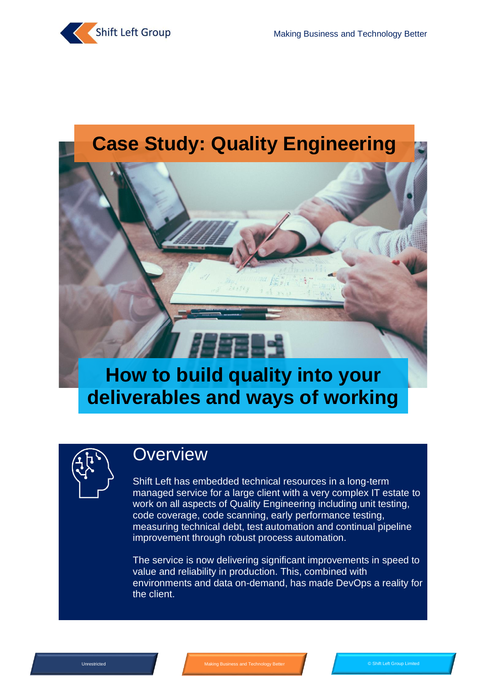

# **Case Study: Quality Engineering**

# **How to build quality into your deliverables and ways of working**

 $H\mathbf{H}$ 



### **Overview**

Shift Left has embedded technical resources in a long-term managed service for a large client with a very complex IT estate to work on all aspects of Quality Engineering including unit testing, code coverage, code scanning, early performance testing, measuring technical debt, test automation and continual pipeline improvement through robust process automation.

The service is now delivering significant improvements in speed to value and reliability in production. This, combined with environments and data on-demand, has made DevOps a reality for the client.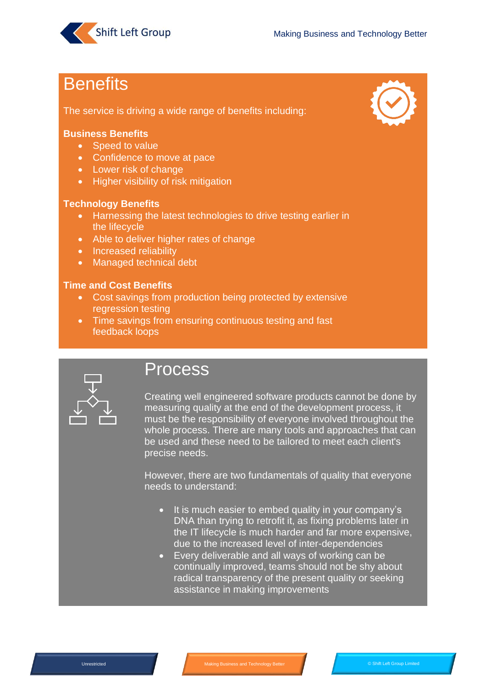

## **Benefits**

The service is driving a wide range of benefits including:

#### **Business Benefits**

- Speed to value
- Confidence to move at pace
- Lower risk of change
- Higher visibility of risk mitigation

#### **Technology Benefits**

- Harnessing the latest technologies to drive testing earlier in the lifecycle
- Able to deliver higher rates of change
- Increased reliability
- Managed technical debt

#### **Time and Cost Benefits**

- Cost savings from production being protected by extensive regression testing
- Time savings from ensuring continuous testing and fast feedback loops



### Process

Creating well engineered software products cannot be done by measuring quality at the end of the development process, it must be the responsibility of everyone involved throughout the whole process. There are many tools and approaches that can be used and these need to be tailored to meet each client's precise needs.

However, there are two fundamentals of quality that everyone needs to understand:

- It is much easier to embed quality in your company's DNA than trying to retrofit it, as fixing problems later in the IT lifecycle is much harder and far more expensive, due to the increased level of inter-dependencies
- Every deliverable and all ways of working can be continually improved, teams should not be shy about radical transparency of the present quality or seeking assistance in making improvements